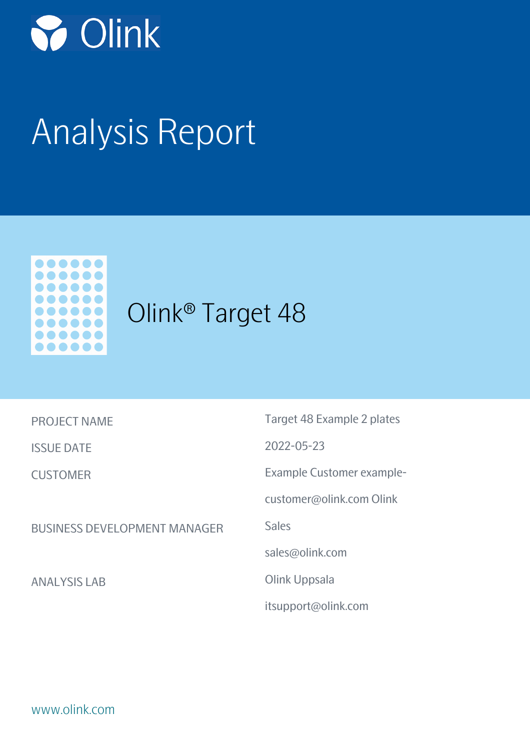

# Analysis Report



## Olink® Target 48

| <b>PROJECT NAME</b>                 | Target 48 Example 2 plates |
|-------------------------------------|----------------------------|
| <b>ISSUE DATE</b>                   | $2022 - 05 - 23$           |
| <b>CUSTOMER</b>                     | Example Customer example-  |
|                                     | customer@olink.com Olink   |
| <b>BUSINESS DEVELOPMENT MANAGER</b> | <b>Sales</b>               |
|                                     | sales@olink.com            |
| <b>ANALYSIS LAB</b>                 | Olink Uppsala              |
|                                     | itsupport@olink.com        |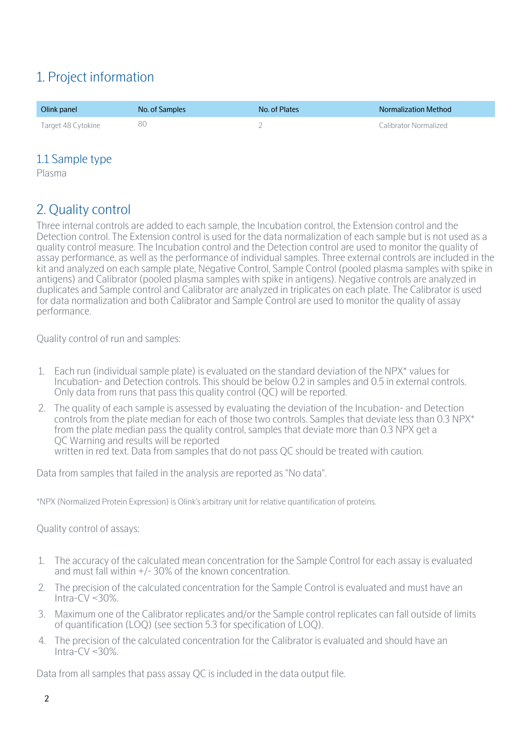## 1. Project information

| Olink panel        | No. of Samples | No. of Plates | <b>Normalization Method</b> |
|--------------------|----------------|---------------|-----------------------------|
| Target 48 Cytokine | 80             |               | Calibrator Normalized       |

#### 1.1 Sample type

Plasma

## 2. Quality control

Three internal controls are added to each sample, the Incubation control, the Extension control and the Detection control. The Extension control is used for the data normalization of each sample but is not used as a quality control measure. The Incubation control and the Detection control are used to monitor the quality of assay performance, as well as the performance of individual samples. Three external controls are included in the kit and analyzed on each sample plate, Negative Control, Sample Control (pooled plasma samples with spike in antigens) and Calibrator (pooled plasma samples with spike in antigens). Negative controls are analyzed in duplicates and Sample control and Calibrator are analyzed in triplicates on each plate. The Calibrator is used for data normalization and both Calibrator and Sample Control are used to monitor the quality of assay performance.

Quality control of run and samples:

- 1. Each run (individual sample plate) is evaluated on the standard deviation of the NPX\* values for Incubation- and Detection controls. This should be below 0.2 in samples and 0.5 in external controls. Only data from runs that pass this quality control (QC) will be reported.
- 2. The quality of each sample is assessed by evaluating the deviation of the Incubation- and Detection controls from the plate median for each of those two controls. Samples that deviate less than 0.3 NPX\* from the plate median pass the quality control, samples that deviate more than 0.3 NPX get a QC Warning and results will be reported written in red text. Data from samples that do not pass QC should be treated with caution.

Data from samples that failed in the analysis are reported as "No data".

\*NPX (Normalized Protein Expression) is Olink's arbitrary unit for relative quantification of proteins.

Quality control of assays:

- 1. The accuracy of the calculated mean concentration for the Sample Control for each assay is evaluated and must fall within +/- 30% of the known concentration.
- 2. The precision of the calculated concentration for the Sample Control is evaluated and must have an Intra-CV $\leq$ 30%.
- 3. Maximum one of the Calibrator replicates and/or the Sample control replicates can fall outside of limits of quantification (LOQ) (see section 5.3 for specification of LOQ).
- 4. The precision of the calculated concentration for the Calibrator is evaluated and should have an Intra-CV  $<$  30%.

Data from all samples that pass assay QC is included in the data output file.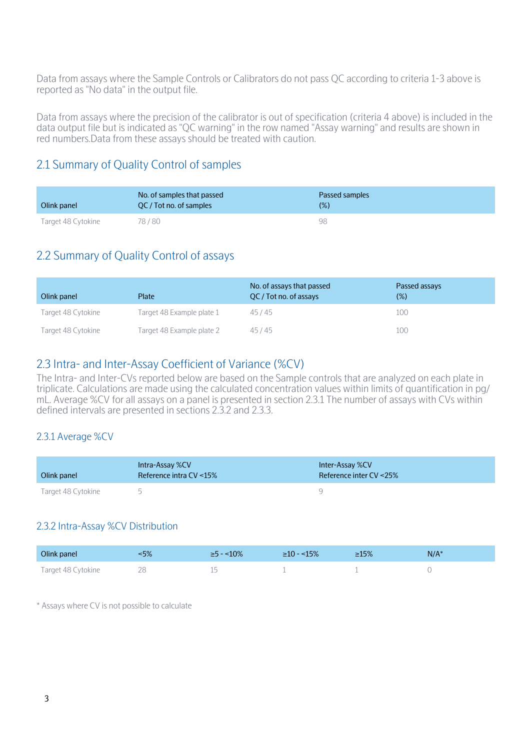Data from assays where the Sample Controls or Calibrators do not pass QC according to criteria 1-3 above is reported as "No data" in the output file.

Data from assays where the precision of the calibrator is out of specification (criteria 4 above) is included in the data output file but is indicated as "QC warning" in the row named "Assay warning" and results are shown in red numbers.Data from these assays should be treated with caution.

#### 2.1 Summary of Quality Control of samples

| Olink panel        | No. of samples that passed<br>QC / Tot no. of samples | Passed samples<br>(%) |
|--------------------|-------------------------------------------------------|-----------------------|
| Target 48 Cytokine | 78/80                                                 | 98                    |

#### 2.2 Summary of Quality Control of assays

| Olink panel        | Plate                     | No. of assays that passed<br>OC/Tot no. of assays | Passed assays<br>$(\%)$ |
|--------------------|---------------------------|---------------------------------------------------|-------------------------|
| Target 48 Cytokine | Target 48 Example plate 1 | 45/45                                             | 100                     |
| Target 48 Cytokine | Target 48 Example plate 2 | 45/45                                             | 100                     |

#### 2.3 Intra- and Inter-Assay Coefficient of Variance (%CV)

The Intra- and Inter-CVs reported below are based on the Sample controls that are analyzed on each plate in triplicate. Calculations are made using the calculated concentration values within limits of quantification in pg/ mL. Average %CV for all assays on a panel is presented in section 2.3.1 The number of assays with CVs within defined intervals are presented in sections 2.3.2 and 2.3.3.

#### 2.3.1 Average %CV

| Olink panel        | Intra-Assay %CV<br>Reference intra CV <15% | Inter-Assay %CV<br>Reference inter $CV < 25\%$ |
|--------------------|--------------------------------------------|------------------------------------------------|
| Target 48 Cytokine |                                            |                                                |

#### 2.3.2 Intra-Assay %CV Distribution

| Olink panel        | ∕ە⊐۔<br>J /o | 10% | ~15% | $\geq 15\%$ | $N/A^*$ |
|--------------------|--------------|-----|------|-------------|---------|
| Target 48 Cytokine | ŹŰ<br>__     | --  |      |             |         |

\* Assays where CV is not possible to calculate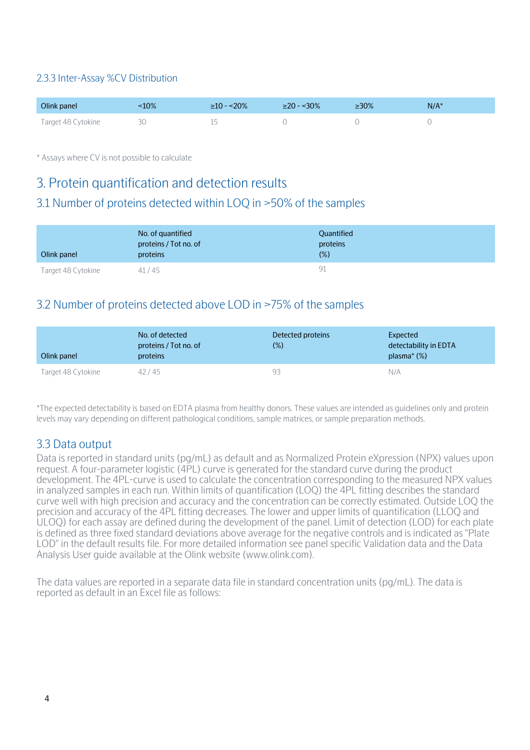#### 2.3.3 Inter-Assay %CV Distribution

| Olink panel        | $10\%$ | $\geq$ 10 - <20% | $\geq$ 20 - <30% | ≥30% | $N/A^*$ |
|--------------------|--------|------------------|------------------|------|---------|
| Target 48 Cytokine |        |                  |                  |      |         |

\* Assays where CV is not possible to calculate

### 3. Protein quantification and detection results

#### 3.1 Number of proteins detected within LOQ in >50% of the samples

| Olink panel        | No. of quantified<br>proteins / Tot no. of<br>proteins | <b>Quantified</b><br>proteins<br>$(\%)$ |
|--------------------|--------------------------------------------------------|-----------------------------------------|
| Target 48 Cytokine | 41/45                                                  | 91                                      |

#### 3.2 Number of proteins detected above LOD in >75% of the samples

| Olink panel        | No. of detected<br>proteins / Tot no. of<br><b>proteins</b> | Detected proteins<br>$(\%)$ | Expected<br>detectability in EDTA<br>plasma $*(\%)$ |
|--------------------|-------------------------------------------------------------|-----------------------------|-----------------------------------------------------|
| Target 48 Cytokine | 42/45                                                       | 93                          | N/A                                                 |

\*The expected detectability is based on EDTA plasma from healthy donors. These values are intended as guidelines only and protein levels may vary depending on different pathological conditions, sample matrices, or sample preparation methods.

#### 3.3 Data output

Data is reported in standard units (pg/mL) as default and as Normalized Protein eXpression (NPX) values upon request. A four-parameter logistic (4PL) curve is generated for the standard curve during the product development. The 4PL-curve is used to calculate the concentration corresponding to the measured NPX values in analyzed samples in each run. Within limits of quantification (LOQ) the 4PL fitting describes the standard curve well with high precision and accuracy and the concentration can be correctly estimated. Outside LOQ the precision and accuracy of the 4PL fitting decreases. The lower and upper limits of quantification (LLOQ and ULOQ) for each assay are defined during the development of the panel. Limit of detection (LOD) for each plate is defined as three fixed standard deviations above average for the negative controls and is indicated as "Plate LOD" in the default results file. For more detailed information see panel specific Validation data and the Data Analysis User guide available at the Olink website (www.olink.com).

The data values are reported in a separate data file in standard concentration units (pg/mL). The data is reported as default in an Excel file as follows: